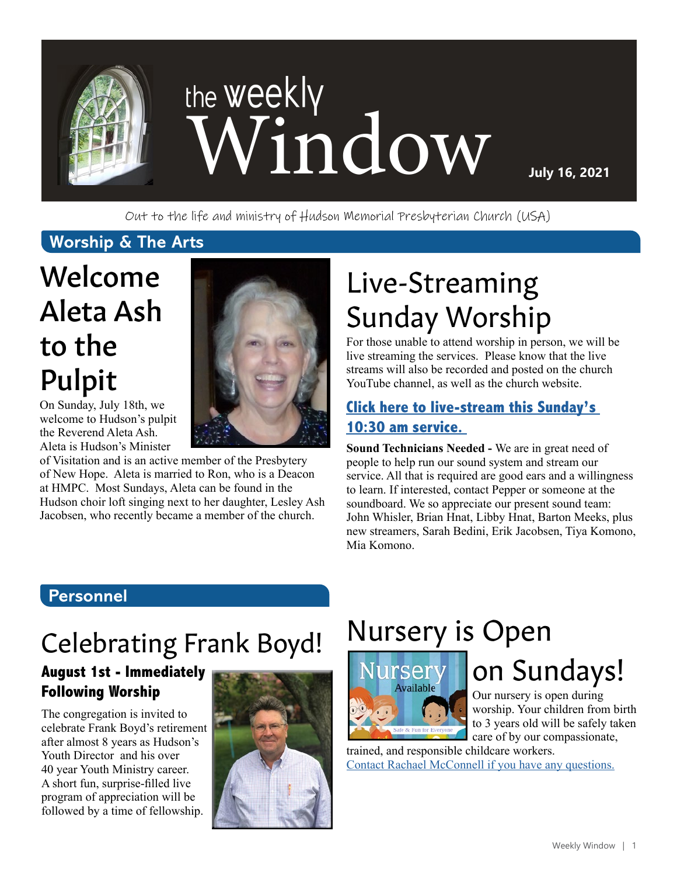

Out to the life and ministry of Hudson Memorial Presbyterian Church (USA)

#### **Worship & The Arts**

# Welcome Aleta Ash to the Pulpit

On Sunday, July 18th, we welcome to Hudson's pulpit the Reverend Aleta Ash. Aleta is Hudson's Minister

of Visitation and is an active member of the Presbytery of New Hope. Aleta is married to Ron, who is a Deacon at HMPC. Most Sundays, Aleta can be found in the Hudson choir loft singing next to her daughter, Lesley Ash Jacobsen, who recently became a member of the church.

# Live-Streaming Sunday Worship

For those unable to attend worship in person, we will be live streaming the services. Please know that the live streams will also be recorded and posted on the church YouTube channel, as well as the church website.

### **[Click here to live-stream this Sunday's](https://www.youtube.com/channel/UCuYf7XqKx9g_Mc0_BsPkWlA)  [10:30 am service.](https://www.youtube.com/channel/UCuYf7XqKx9g_Mc0_BsPkWlA)**

**Sound Technicians Needed -** We are in great need of people to help run our sound system and stream our service. All that is required are good ears and a willingness to learn. If interested, contact Pepper or someone at the soundboard. We so appreciate our present sound team: John Whisler, Brian Hnat, Libby Hnat, Barton Meeks, plus new streamers, Sarah Bedini, Erik Jacobsen, Tiya Komono, Mia Komono.

#### **Personnel**

# Celebrating Frank Boyd!

#### **August 1st - Immediately Following Worship**

The congregation is invited to celebrate Frank Boyd's retirement after almost 8 years as Hudson's Youth Director and his over 40 year Youth Ministry career. A short fun, surprise-filled live program of appreciation will be followed by a time of fellowship.



# Nursery is Open



# on Sundays!

Our nursery is open during worship. Your children from birth to 3 years old will be safely taken care of by our compassionate,

trained, and responsible childcare workers. [Contact Rachael McConnell if you have any questions.](mailto:rmcconnell%40hmpc.org?subject=)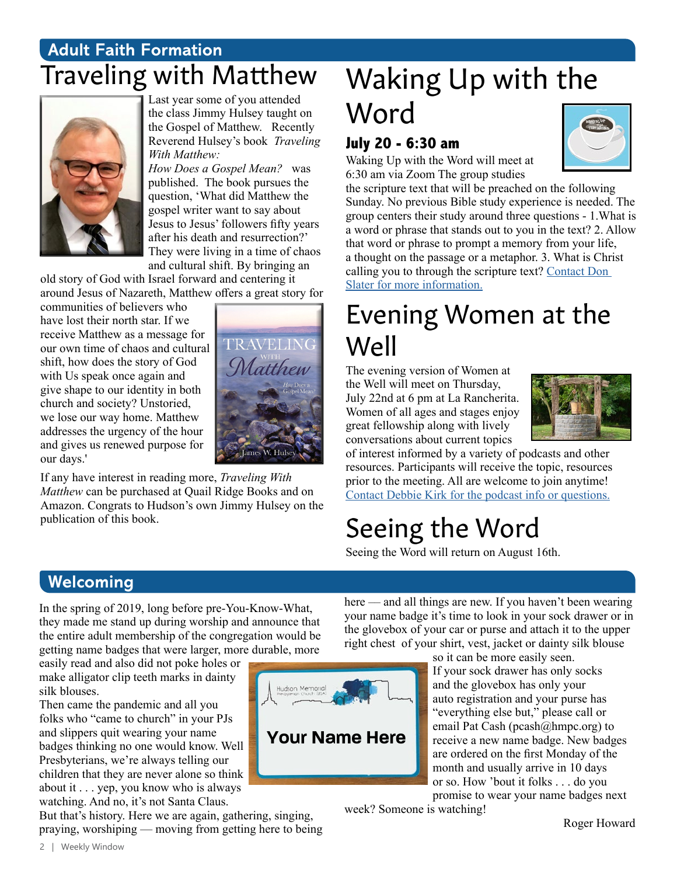### **Adult Faith Formation** Traveling with Matthew



Last year some of you attended the class Jimmy Hulsey taught on the Gospel of Matthew. Recently Reverend Hulsey's book *Traveling With Matthew:*

*How Does a Gospel Mean?* was published. The book pursues the question, 'What did Matthew the gospel writer want to say about Jesus to Jesus' followers fifty years after his death and resurrection?' They were living in a time of chaos and cultural shift. By bringing an

old story of God with Israel forward and centering it around Jesus of Nazareth, Matthew offers a great story for

communities of believers who have lost their north star. If we receive Matthew as a message for our own time of chaos and cultural shift, how does the story of God with Us speak once again and give shape to our identity in both church and society? Unstoried, we lose our way home. Matthew addresses the urgency of the hour and gives us renewed purpose for our days.'



If any have interest in reading more, *Traveling With Matthew* can be purchased at Quail Ridge Books and on Amazon. Congrats to Hudson's own Jimmy Hulsey on the publication of this book.

# Waking Up with the Word

#### **July 20 - 6:30 am**

Waking Up with the Word will meet at 6:30 am via Zoom The group studies



the scripture text that will be preached on the following Sunday. No previous Bible study experience is needed. The group centers their study around three questions - 1.What is a word or phrase that stands out to you in the text? 2. Allow that word or phrase to prompt a memory from your life, a thought on the passage or a metaphor. 3. What is Christ calling you to through the scripture text? [Contact Don](mailto:djslater107%40gmail.com?subject=)  [Slater for more information.](mailto:djslater107%40gmail.com?subject=)

## Evening Women at the Well

The evening version of Women at the Well will meet on Thursday, July 22nd at 6 pm at La Rancherita. Women of all ages and stages enjoy great fellowship along with lively conversations about current topics



of interest informed by a variety of podcasts and other resources. Participants will receive the topic, resources prior to the meeting. All are welcome to join anytime! [Contact Debbie Kirk](mailto:dkirk%40hmpc.org?subject=) for the podcast info or questions.

# Seeing the Word

Seeing the Word will return on August 16th.

### **Welcoming**

In the spring of 2019, long before pre-You-Know-What, they made me stand up during worship and announce that the entire adult membership of the congregation would be getting name badges that were larger, more durable, more

easily read and also did not poke holes or make alligator clip teeth marks in dainty silk blouses.

Then came the pandemic and all you folks who "came to church" in your PJs and slippers quit wearing your name badges thinking no one would know. Well Presbyterians, we're always telling our children that they are never alone so think about it . . . yep, you know who is always watching. And no, it's not Santa Claus.

But that's history. Here we are again, gathering, singing, praying, worshiping — moving from getting here to being

**Your Name Here**

here — and all things are new. If you haven't been wearing your name badge it's time to look in your sock drawer or in the glovebox of your car or purse and attach it to the upper right chest of your shirt, vest, jacket or dainty silk blouse

> so it can be more easily seen. If your sock drawer has only socks and the glovebox has only your auto registration and your purse has "everything else but," please call or email Pat Cash (pcash@hmpc.org) to receive a new name badge. New badges are ordered on the first Monday of the month and usually arrive in 10 days or so. How 'bout it folks . . . do you promise to wear your name badges next

week? Someone is watching!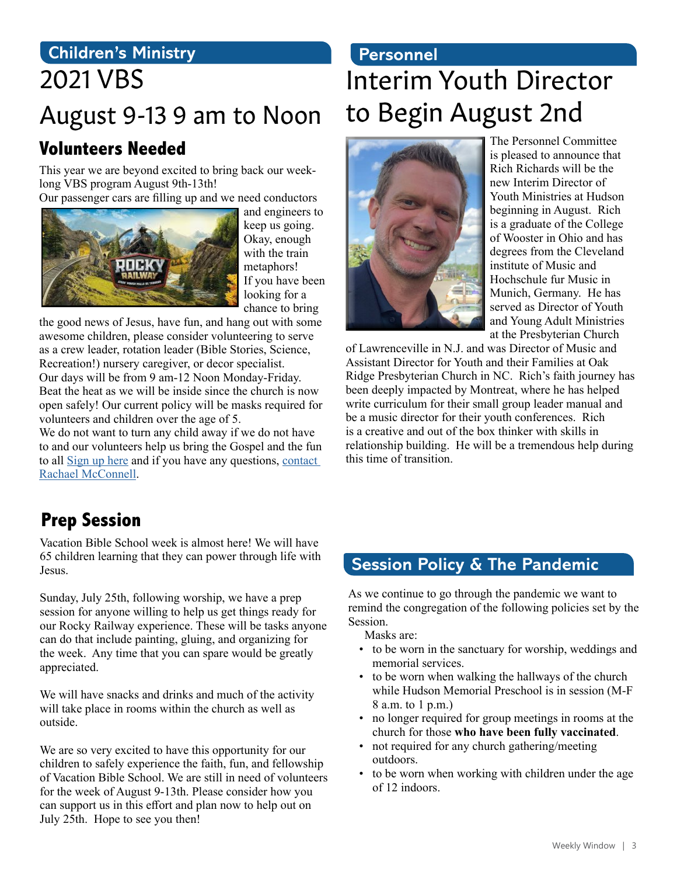### **Children's Ministry** 2021 VBS

# August 9-13 9 am to Noon

### **Volunteers Needed**

This year we are beyond excited to bring back our weeklong VBS program August 9th-13th!

Our passenger cars are filling up and we need conductors



and engineers to keep us going. Okay, enough with the train metaphors! If you have been looking for a chance to bring

the good news of Jesus, have fun, and hang out with some awesome children, please consider volunteering to serve as a crew leader, rotation leader (Bible Stories, Science, Recreation!) nursery caregiver, or decor specialist. Our days will be from 9 am-12 Noon Monday-Friday. Beat the heat as we will be inside since the church is now open safely! Our current policy will be masks required for volunteers and children over the age of 5.

We do not want to turn any child away if we do not have to and our volunteers help us bring the Gospel and the fun to all [Sign up here](https://vbspro.events/p/events/hmpcvbs2021) and if you have any questions, [contact](mailto:rmcconnell%40hmpc.org?subject=)  [Rachael McConnell](mailto:rmcconnell%40hmpc.org?subject=).

### **Personnel**

# Interim Youth Director to Begin August 2nd



The Personnel Committee is pleased to announce that Rich Richards will be the new Interim Director of Youth Ministries at Hudson beginning in August. Rich is a graduate of the College of Wooster in Ohio and has degrees from the Cleveland institute of Music and Hochschule fur Music in Munich, Germany. He has served as Director of Youth and Young Adult Ministries at the Presbyterian Church

of Lawrenceville in N.J. and was Director of Music and Assistant Director for Youth and their Families at Oak Ridge Presbyterian Church in NC. Rich's faith journey has been deeply impacted by Montreat, where he has helped write curriculum for their small group leader manual and be a music director for their youth conferences. Rich is a creative and out of the box thinker with skills in relationship building. He will be a tremendous help during this time of transition.

### **Prep Session**

Vacation Bible School week is almost here! We will have 65 children learning that they can power through life with Jesus.

Sunday, July 25th, following worship, we have a prep session for anyone willing to help us get things ready for our Rocky Railway experience. These will be tasks anyone can do that include painting, gluing, and organizing for the week. Any time that you can spare would be greatly appreciated.

We will have snacks and drinks and much of the activity will take place in rooms within the church as well as outside.

We are so very excited to have this opportunity for our children to safely experience the faith, fun, and fellowship of Vacation Bible School. We are still in need of volunteers for the week of August 9-13th. Please consider how you can support us in this effort and plan now to help out on July 25th. Hope to see you then!

### **Session Policy & The Pandemic**

As we continue to go through the pandemic we want to remind the congregation of the following policies set by the Session.

Masks are:

- to be worn in the sanctuary for worship, weddings and memorial services.
- to be worn when walking the hallways of the church while Hudson Memorial Preschool is in session (M-F 8 a.m. to 1 p.m.)
- no longer required for group meetings in rooms at the church for those **who have been fully vaccinated**.
- not required for any church gathering/meeting outdoors.
- to be worn when working with children under the age of 12 indoors.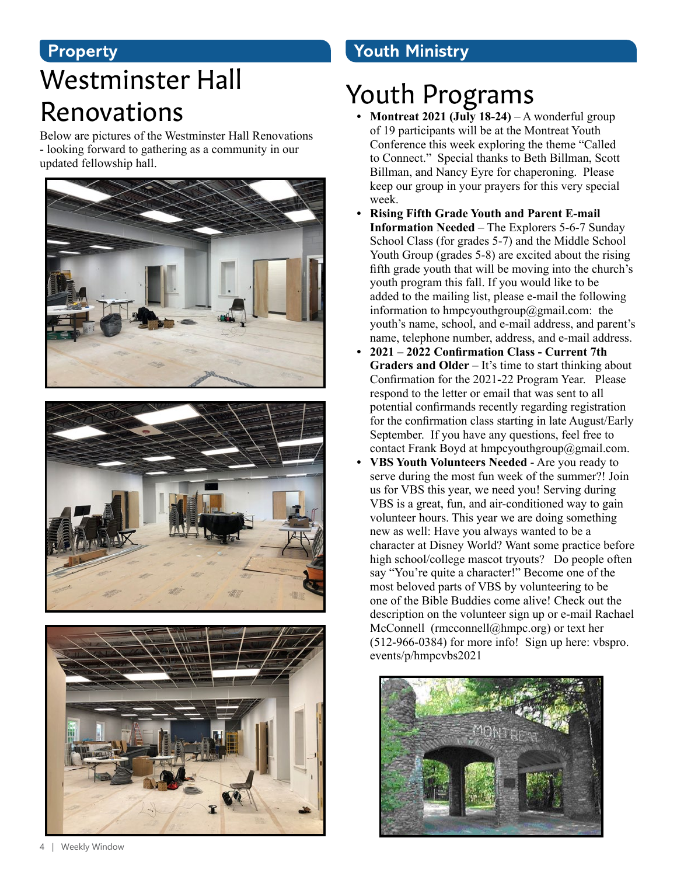### **Property**

## Westminster Hall Renovations

Below are pictures of the Westminster Hall Renovations - looking forward to gathering as a community in our updated fellowship hall.







### **Youth Ministry**

## Youth Programs

- **Montreat 2021 (July 18-24)** A wonderful group of 19 participants will be at the Montreat Youth Conference this week exploring the theme "Called to Connect." Special thanks to Beth Billman, Scott Billman, and Nancy Eyre for chaperoning. Please keep our group in your prayers for this very special week.
- **• Rising Fifth Grade Youth and Parent E-mail Information Needed** – The Explorers 5-6-7 Sunday School Class (for grades 5-7) and the Middle School Youth Group (grades 5-8) are excited about the rising fifth grade youth that will be moving into the church's youth program this fall. If you would like to be added to the mailing list, please e-mail the following information to hmpcyouthgroup@gmail.com: the youth's name, school, and e-mail address, and parent's name, telephone number, address, and e-mail address.
- **• 2021 2022 Confirmation Class Current 7th Graders and Older** – It's time to start thinking about Confirmation for the 2021-22 Program Year. Please respond to the letter or email that was sent to all potential confirmands recently regarding registration for the confirmation class starting in late August/Early September. If you have any questions, feel free to contact Frank Boyd at hmpcyouthgroup@gmail.com.
- **• VBS Youth Volunteers Needed** Are you ready to serve during the most fun week of the summer?! Join us for VBS this year, we need you! Serving during VBS is a great, fun, and air-conditioned way to gain volunteer hours. This year we are doing something new as well: Have you always wanted to be a character at Disney World? Want some practice before high school/college mascot tryouts? Do people often say "You're quite a character!" Become one of the most beloved parts of VBS by volunteering to be one of the Bible Buddies come alive! Check out the description on the volunteer sign up or e-mail Rachael McConnell (rmcconnell@hmpc.org) or text her (512-966-0384) for more info! Sign up here: vbspro. events/p/hmpcvbs2021

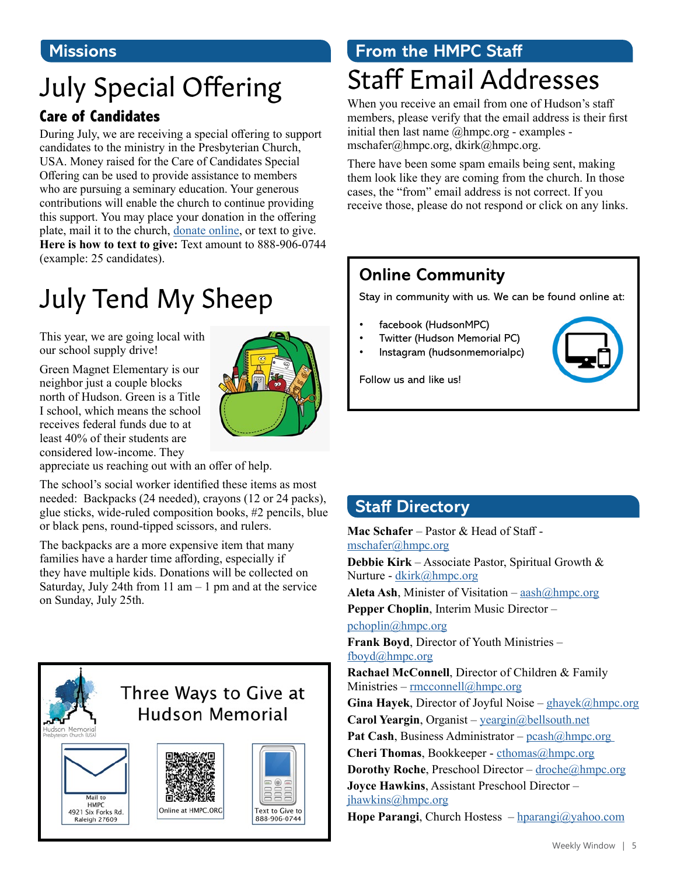#### **Missions**

# July Special Offering

#### **Care of Candidates**

During July, we are receiving a special offering to support candidates to the ministry in the Presbyterian Church, USA. Money raised for the Care of Candidates Special Offering can be used to provide assistance to members who are pursuing a seminary education. Your generous contributions will enable the church to continue providing this support. You may place your donation in the offering plate, mail it to the church, [donate online](https://www.eservicepayments.com/cgi-bin/Vanco_ver3.vps?appver3=Fi1giPL8kwX_Oe1AO50jRnQ574HZh5kFEHVJ6e5We_Us4NSQukCYDzKLUtTTUlsf2EvVVAEjqawDomKT1pbouTsRltlX7QEmZN4jxtbsYBc=&ver=3), or text to give. **Here is how to text to give:** Text amount to 888-906-0744 (example: 25 candidates).

# July Tend My Sheep

This year, we are going local with our school supply drive!

Green Magnet Elementary is our neighbor just a couple blocks north of Hudson. Green is a Title I school, which means the school receives federal funds due to at least 40% of their students are considered low-income. They



appreciate us reaching out with an offer of help.

The school's social worker identified these items as most needed: Backpacks (24 needed), crayons (12 or 24 packs), glue sticks, wide-ruled composition books, #2 pencils, blue or black pens, round-tipped scissors, and rulers.

The backpacks are a more expensive item that many families have a harder time affording, especially if they have multiple kids. Donations will be collected on Saturday, July 24th from 11 am  $-1$  pm and at the service on Sunday, July 25th.



### **From the HMPC Staff** Staff Email Addresses

When you receive an email from one of Hudson's staff members, please verify that the email address is their first initial then last name @hmpc.org - examples mschafer@hmpc.org, dkirk@hmpc.org.

There have been some spam emails being sent, making them look like they are coming from the church. In those cases, the "from" email address is not correct. If you receive those, please do not respond or click on any links.

### **Online Community**

Stay in community with us. We can be found online at:

- facebook (HudsonMPC)
- Twitter (Hudson Memorial PC)
- Instagram (hudsonmemorialpc)

Follow us and like us!



### **Staff Directory**

**Mac Schafer** – Pastor & Head of Staff [mschafer@hmpc.org](mailto:mschafer%40hmpc.org?subject=) **Debbie Kirk** – Associate Pastor, Spiritual Growth & Nurture - [dkirk@hmpc.org](mailto:dkirk%40hmpc.org?subject=)

**Aleta Ash, Minister of Visitation – aash** $\omega$ **hmpc.org** 

**Pepper Choplin**, Interim Music Director –

[pchoplin@hmpc.org](mailto:pchoplin%40hmpc.org?subject=)

**Frank Boyd**, Director of Youth Ministries – [fboyd@hmpc.org](mailto:fboyd%40hmpc.org?subject=)

**Rachael McConnell**, Director of Children & Family Ministries –  $rmconnell@hmpc.org$  $rmconnell@hmpc.org$ 

**Gina Hayek**, Director of Joyful Noise – [ghayek@hmpc.org](mailto:ghayek%40hmpc.org?subject=) **Carol Yeargin**, Organist – [yeargin@bellsouth.net](mailto:yeargin%40bellsouth.net?subject=)

Pat Cash, Business Administrator – pcash@hmpc.org

**Cheri Thomas**, Bookkeeper - [cthomas@hmpc.org](mailto:cthomas%40hmpc.org?subject=)

**Dorothy Roche**, Preschool Director – [droche@hmpc.org](mailto:droche%40hmpc.org?subject=)

**Joyce Hawkins**, Assistant Preschool Director –

[jhawkins@hmpc.org](mailto:jhawkins%40hmpc.org?subject=)

**Hope Parangi**, Church Hostess – [hparangi@yahoo.com](mailto:hparangi%40yahoo.com?subject=)